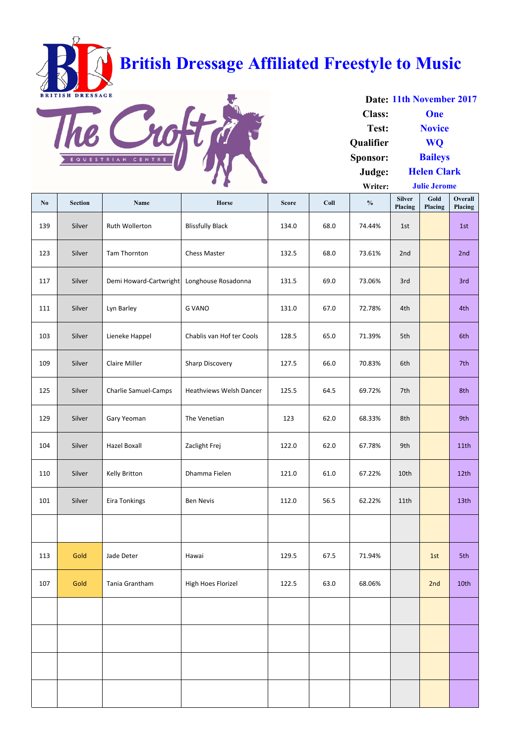| $\mathbf{N}\mathbf{0}$ | <b>Section</b> | Name                        | Horse                          | <b>Score</b> | Coll | $\frac{0}{0}$ | <b>Silver</b><br>Placing | Gold<br>Placing | Overall<br>Placing |
|------------------------|----------------|-----------------------------|--------------------------------|--------------|------|---------------|--------------------------|-----------------|--------------------|
| 139                    | Silver         | Ruth Wollerton              | <b>Blissfully Black</b>        | 134.0        | 68.0 | 74.44%        | 1st                      |                 | 1st                |
| 123                    | Silver         | Tam Thornton                | <b>Chess Master</b>            | 132.5        | 68.0 | 73.61%        | 2nd                      |                 | 2nd                |
| 117                    | Silver         | Demi Howard-Cartwright      | Longhouse Rosadonna            | 131.5        | 69.0 | 73.06%        | 3rd                      |                 | 3rd                |
| 111                    | Silver         | Lyn Barley                  | <b>G VANO</b>                  | 131.0        | 67.0 | 72.78%        | 4th                      |                 | 4th                |
| 103                    | Silver         | Lieneke Happel              | Chablis van Hof ter Cools      | 128.5        | 65.0 | 71.39%        | 5th                      |                 | 6th                |
| 109                    | Silver         | <b>Claire Miller</b>        | <b>Sharp Discovery</b>         | 127.5        | 66.0 | 70.83%        | 6th                      |                 | 7th                |
| 125                    | Silver         | <b>Charlie Samuel-Camps</b> | <b>Heathviews Welsh Dancer</b> | 125.5        | 64.5 | 69.72%        | 7th                      |                 | 8th                |
| 129                    | Silver         | Gary Yeoman                 | The Venetian                   | 123          | 62.0 | 68.33%        | 8th                      |                 | 9th                |
| 104                    | Silver         | <b>Hazel Boxall</b>         | Zaclight Frej                  | 122.0        | 62.0 | 67.78%        | 9th                      |                 | 11 <sub>th</sub>   |
| 110                    | Silver         | Kelly Britton               | Dhamma Fielen                  | 121.0        | 61.0 | 67.22%        | 10th                     |                 | 12th               |
| 101                    | Silver         | Eira Tonkings               | <b>Ben Nevis</b>               | 112.0        | 56.5 | 62.22%        | 11th                     |                 | 13th               |
|                        |                |                             |                                |              |      |               |                          |                 |                    |
| 113                    | Gold           | Jade Deter                  | Hawai                          | 129.5        | 67.5 | 71.94%        |                          | 1st             | 5th                |
| 107                    | Gold           | Tania Grantham              | High Hoes Florizel             | 122.5        | 63.0 | 68.06%        |                          | 2nd             | 10th               |
|                        |                |                             |                                |              |      |               |                          |                 |                    |
|                        |                |                             |                                |              |      |               |                          |                 |                    |
|                        |                |                             |                                |              |      |               |                          |                 |                    |
|                        |                |                             |                                |              |      |               |                          |                 |                    |

**Date: 11th November 2017 Class: Test: Qualifier Sponsor: Judge: Writer: Helen Clark Julie Jerome One Novice WQ Baileys**

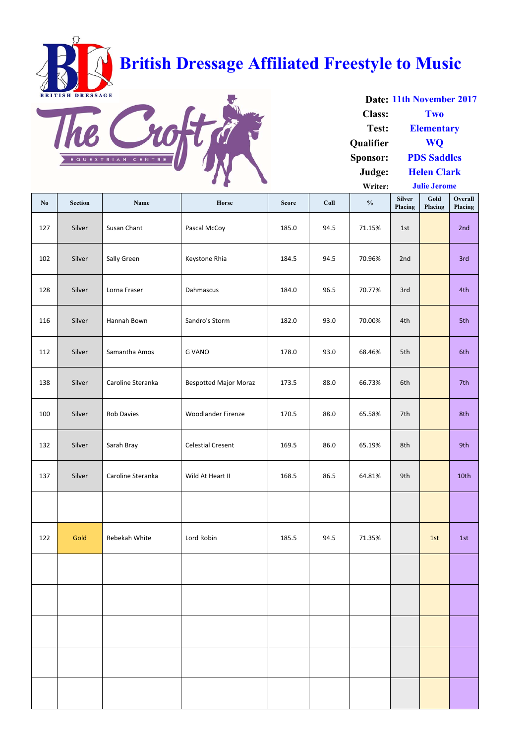| $\mathbf{N}\mathbf{o}$ | <b>Section</b> | Name              | Horse                        | <b>Score</b> | Coll | $\frac{0}{0}$ | <b>Silver</b><br>Placing | Gold<br>Placing | Overall<br>Placing |
|------------------------|----------------|-------------------|------------------------------|--------------|------|---------------|--------------------------|-----------------|--------------------|
| 127                    | Silver         | Susan Chant       | Pascal McCoy                 | 185.0        | 94.5 | 71.15%        | 1st                      |                 | 2nd                |
| 102                    | Silver         | Sally Green       | Keystone Rhia                | 184.5        | 94.5 | 70.96%        | 2nd                      |                 | 3rd                |
| 128                    | Silver         | Lorna Fraser      | Dahmascus                    | 184.0        | 96.5 | 70.77%        | 3rd                      |                 | 4th                |
| 116                    | Silver         | Hannah Bown       | Sandro's Storm               | 182.0        | 93.0 | 70.00%        | 4th                      |                 | 5th                |
| 112                    | Silver         | Samantha Amos     | <b>G VANO</b>                | 178.0        | 93.0 | 68.46%        | 5th                      |                 | 6th                |
| 138                    | Silver         | Caroline Steranka | <b>Bespotted Major Moraz</b> | 173.5        | 88.0 | 66.73%        | 6th                      |                 | 7th                |
| 100                    | Silver         | <b>Rob Davies</b> | <b>Woodlander Firenze</b>    | 170.5        | 88.0 | 65.58%        | 7th                      |                 | 8th                |
| 132                    | Silver         | Sarah Bray        | <b>Celestial Cresent</b>     | 169.5        | 86.0 | 65.19%        | 8th                      |                 | 9th                |
| 137                    | Silver         | Caroline Steranka | Wild At Heart II             | 168.5        | 86.5 | 64.81%        | 9th                      |                 | 10th               |
|                        |                |                   |                              |              |      |               |                          |                 |                    |
| 122                    | Gold           | Rebekah White     | Lord Robin                   | 185.5        | 94.5 | 71.35%        |                          | 1st             | 1st                |
|                        |                |                   |                              |              |      |               |                          |                 |                    |
|                        |                |                   |                              |              |      |               |                          |                 |                    |
|                        |                |                   |                              |              |      |               |                          |                 |                    |
|                        |                |                   |                              |              |      |               |                          |                 |                    |
|                        |                |                   |                              |              |      |               |                          |                 |                    |

**Date: 11th November 2017 Class: Test: Qualifier Sponsor: Judge: Writer: Helen Clark Julie Jerome Two Elementary WQ PDS Saddles**

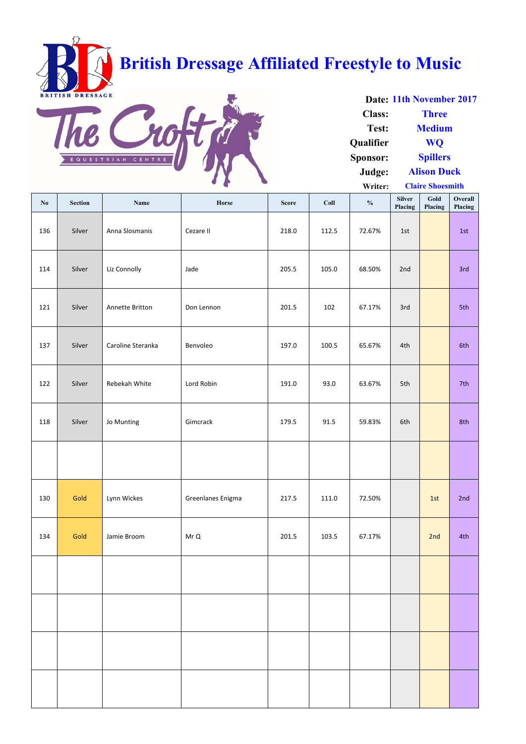| $\mathbf{N}\mathbf{0}$ | <b>Section</b> | <b>Name</b>       | Horse             | <b>Score</b> | Coll  | $\frac{0}{0}$ | <b>Silver</b><br>Placing | Gold<br>Placing | Overall<br>Placing |
|------------------------|----------------|-------------------|-------------------|--------------|-------|---------------|--------------------------|-----------------|--------------------|
| 136                    | Silver         | Anna Slosmanis    | Cezare II         | 218.0        | 112.5 | 72.67%        | 1st                      |                 | 1st                |
| 114                    | Silver         | Liz Connolly      | Jade              | 205.5        | 105.0 | 68.50%        | 2nd                      |                 | 3rd                |
| 121                    | Silver         | Annette Britton   | Don Lennon        | 201.5        | 102   | 67.17%        | 3rd                      |                 | 5th                |
| 137                    | Silver         | Caroline Steranka | Benvoleo          | 197.0        | 100.5 | 65.67%        | 4th                      |                 | 6th                |
| 122                    | Silver         | Rebekah White     | Lord Robin        | 191.0        | 93.0  | 63.67%        | 5th                      |                 | 7th                |
| 118                    | Silver         | Jo Munting        | Gimcrack          | 179.5        | 91.5  | 59.83%        | 6th                      |                 | 8th                |
|                        |                |                   |                   |              |       |               |                          |                 |                    |
| 130                    | Gold           | Lynn Wickes       | Greenlanes Enigma | 217.5        | 111.0 | 72.50%        |                          | 1st             | 2nd                |
| 134                    | Gold           | Jamie Broom       | Mr Q              | 201.5        | 103.5 | 67.17%        |                          | 2nd             | 4th                |
|                        |                |                   |                   |              |       |               |                          |                 |                    |
|                        |                |                   |                   |              |       |               |                          |                 |                    |
|                        |                |                   |                   |              |       |               |                          |                 |                    |
|                        |                |                   |                   |              |       |               |                          |                 |                    |

**Date: 11th November 2017 Class: Test: Qualifier Sponsor: Judge: Writer: Alison Duck Claire Shoesmith Three Medium WQ Spillers**

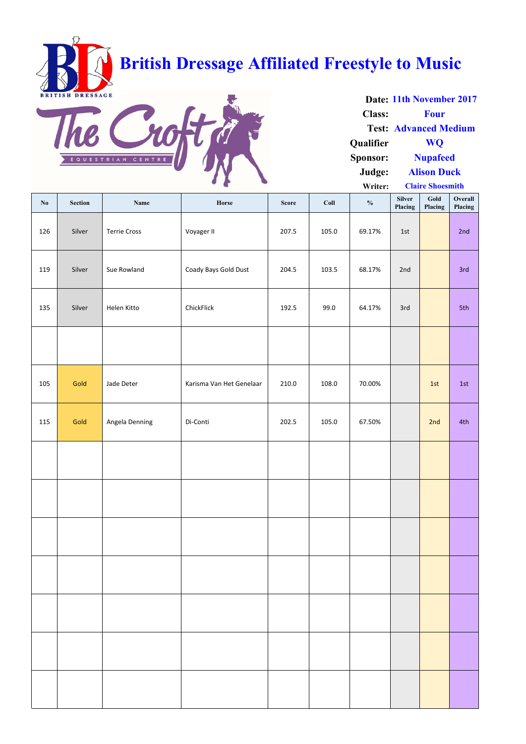| $\mathbf{N}\mathbf{0}$ | Section | Name                | Horse                    | <b>Score</b> | Coll  | $\frac{0}{0}$ | Silver<br>Placing | Gold<br>Placing | Overall<br>Placing |
|------------------------|---------|---------------------|--------------------------|--------------|-------|---------------|-------------------|-----------------|--------------------|
| 126                    | Silver  | <b>Terrie Cross</b> | Voyager II               | 207.5        | 105.0 | 69.17%        | 1st               |                 | 2nd                |
| 119                    | Silver  | Sue Rowland         | Coady Bays Gold Dust     | 204.5        | 103.5 | 68.17%        | 2nd               |                 | 3rd                |
| 135                    | Silver  | Helen Kitto         | ChickFlick               | 192.5        | 99.0  | 64.17%        | 3rd               |                 | 5th                |
|                        |         |                     |                          |              |       |               |                   |                 |                    |
| 105                    | Gold    | Jade Deter          | Karisma Van Het Genelaar | 210.0        | 108.0 | 70.00%        |                   | 1st             | 1st                |
| 115                    | Gold    | Angela Denning      | Di-Conti                 | 202.5        | 105.0 | 67.50%        |                   | 2nd             | 4th                |
|                        |         |                     |                          |              |       |               |                   |                 |                    |
|                        |         |                     |                          |              |       |               |                   |                 |                    |
|                        |         |                     |                          |              |       |               |                   |                 |                    |
|                        |         |                     |                          |              |       |               |                   |                 |                    |
|                        |         |                     |                          |              |       |               |                   |                 |                    |
|                        |         |                     |                          |              |       |               |                   |                 |                    |
|                        |         |                     |                          |              |       |               |                   |                 |                    |

**Date: 11th November 2017 Class: Test: Advanced Medium Qualifier Sponsor: Judge: Writer: Alison Duck Claire Shoesmith Four WQ Nupafeed**